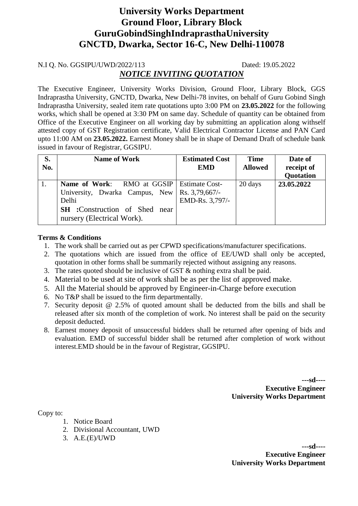# **University Works Department Ground Floor, Library Block GuruGobindSinghIndraprasthaUniversity GNCTD, Dwarka, Sector 16-C, New Delhi-110078**

#### N.I Q. No. GGSIPU/UWD/2022/113 Dated: 19.05.2022

### *NOTICE INVITING QUOTATION*

The Executive Engineer, University Works Division, Ground Floor, Library Block, GGS Indraprastha University, GNCTD, Dwarka, New Delhi-78 invites, on behalf of Guru Gobind Singh Indraprastha University, sealed item rate quotations upto 3:00 PM on **23.05.2022** for the following works, which shall be opened at 3:30 PM on same day. Schedule of quantity can be obtained from Office of the Executive Engineer on all working day by submitting an application along withself attested copy of GST Registration certificate, Valid Electrical Contractor License and PAN Card upto 11:00 AM on **23.05.2022.** Earnest Money shall be in shape of Demand Draft of schedule bank issued in favour of Registrar, GGSIPU.

| S.<br>No. | <b>Name of Work</b>                                                                                                                                                                  | <b>Estimated Cost</b><br><b>EMD</b> | <b>Time</b><br><b>Allowed</b> | Date of<br>receipt of<br>Quotation |
|-----------|--------------------------------------------------------------------------------------------------------------------------------------------------------------------------------------|-------------------------------------|-------------------------------|------------------------------------|
| 1.        | <b>Name of Work:</b> RMO at GGSIP   Estimate Cost-<br>University, Dwarka Campus, New   Rs. 3,79,667/-<br>Delhi<br><b>SH</b> :Construction of Shed near<br>nursery (Electrical Work). | EMD-Rs. 3,797/-                     | 20 days                       | 23.05.2022                         |

#### **Terms & Conditions**

- 1. The work shall be carried out as per CPWD specifications/manufacturer specifications.
- 2. The quotations which are issued from the office of EE/UWD shall only be accepted, quotation in other forms shall be summarily rejected without assigning any reasons.
- 3. The rates quoted should be inclusive of GST & nothing extra shall be paid.
- 4. Material to be used at site of work shall be as per the list of approved make.
- 5. All the Material should be approved by Engineer-in-Charge before execution
- 6. No T&P shall be issued to the firm departmentally.
- 7. Security deposit @ 2.5% of quoted amount shall be deducted from the bills and shall be released after six month of the completion of work. No interest shall be paid on the security deposit deducted.
- 8. Earnest money deposit of unsuccessful bidders shall be returned after opening of bids and evaluation. EMD of successful bidder shall be returned after completion of work without interest.EMD should be in the favour of Registrar, GGSIPU.

**---sd---- Executive Engineer University Works Department**

Copy to:

- 1. Notice Board
- 2. Divisional Accountant, UWD
- 3. A.E.(E)/UWD

**---sd---- Executive Engineer University Works Department**